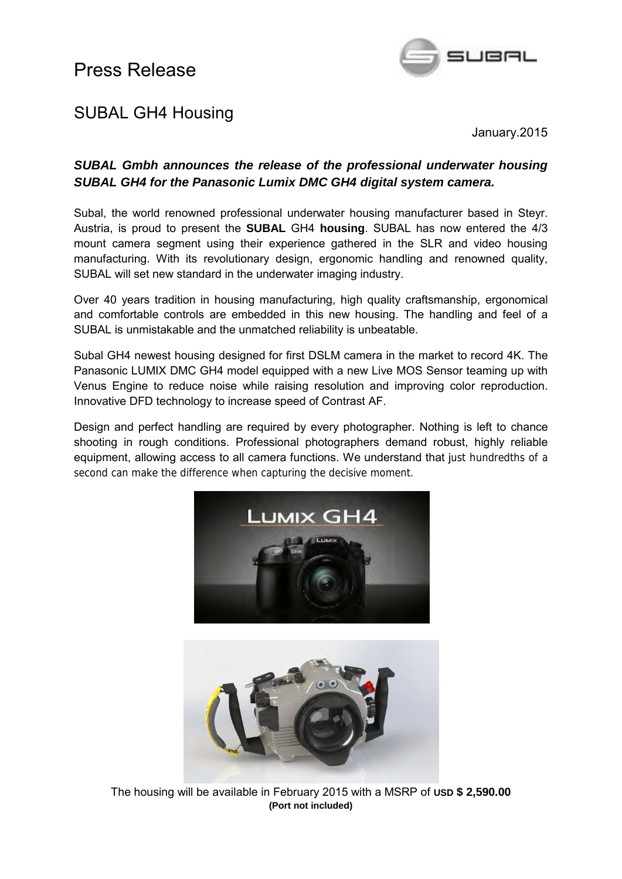

### SUBAL GH4 Housing

January.2015

### *SUBAL Gmbh announces the release of the professional underwater housing SUBAL GH4 for the Panasonic Lumix DMC GH4 digital system camera.*

Subal, the world renowned professional underwater housing manufacturer based in Steyr. Austria, is proud to present the **SUBAL** GH4 **housing**. SUBAL has now entered the 4/3 mount camera segment using their experience gathered in the SLR and video housing manufacturing. With its revolutionary design, ergonomic handling and renowned quality, SUBAL will set new standard in the underwater imaging industry.

Over 40 years tradition in housing manufacturing, high quality craftsmanship, ergonomical and comfortable controls are embedded in this new housing. The handling and feel of a SUBAL is unmistakable and the unmatched reliability is unbeatable.

Subal GH4 newest housing designed for first DSLM camera in the market to record 4K. The Panasonic LUMIX DMC GH4 model equipped with a new Live MOS Sensor teaming up with Venus Engine to reduce noise while raising resolution and improving color reproduction. Innovative DFD technology to increase speed of Contrast AF.

Design and perfect handling are required by every photographer. Nothing is left to chance shooting in rough conditions. Professional photographers demand robust, highly reliable equipment, allowing access to all camera functions. We understand that just hundredths of a second can make the difference when capturing the decisive moment.





The housing will be available in February 2015 with a MSRP of **USD \$ 2,590.00 (Port not included)**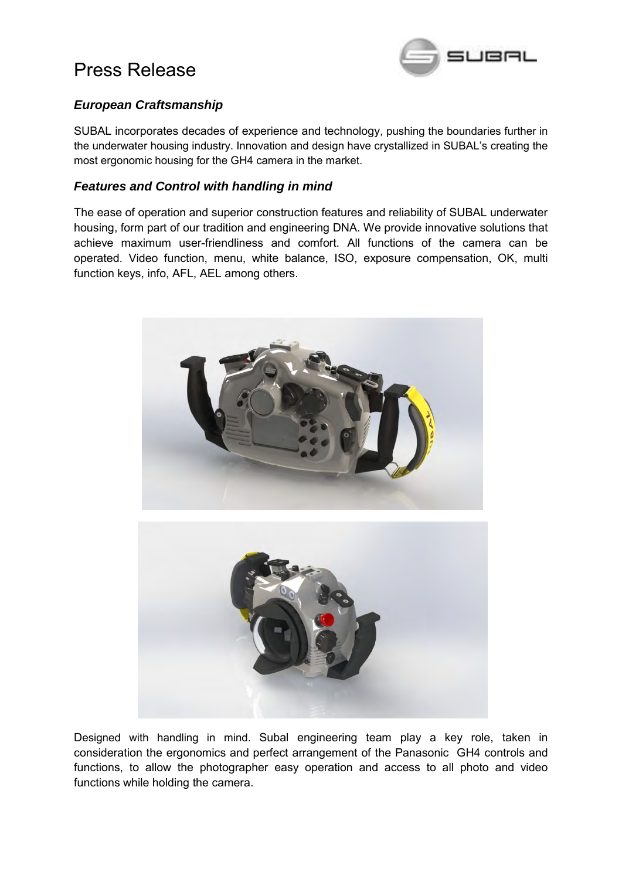

### *European Craftsmanship*

SUBAL incorporates decades of experience and technology, pushing the boundaries further in the underwater housing industry. Innovation and design have crystallized in SUBAL's creating the most ergonomic housing for the GH4 camera in the market.

### *Features and Control with handling in mind*

The ease of operation and superior construction features and reliability of SUBAL underwater housing, form part of our tradition and engineering DNA. We provide innovative solutions that achieve maximum user-friendliness and comfort. All functions of the camera can be operated. Video function, menu, white balance, ISO, exposure compensation, OK, multi function keys, info, AFL, AEL among others.



Designed with handling in mind. Subal engineering team play a key role, taken in consideration the ergonomics and perfect arrangement of the Panasonic GH4 controls and functions, to allow the photographer easy operation and access to all photo and video functions while holding the camera.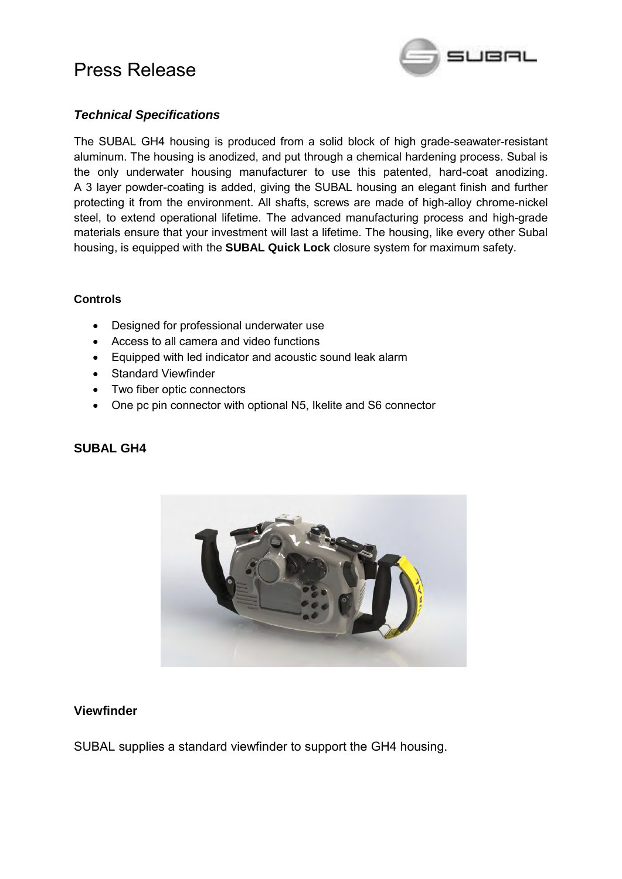

### *Technical Specifications*

The SUBAL GH4 housing is produced from a solid block of high grade-seawater-resistant aluminum. The housing is anodized, and put through a chemical hardening process. Subal is the only underwater housing manufacturer to use this patented, hard-coat anodizing. A 3 layer powder-coating is added, giving the SUBAL housing an elegant finish and further protecting it from the environment. All shafts, screws are made of high-alloy chrome-nickel steel, to extend operational lifetime. The advanced manufacturing process and high-grade materials ensure that your investment will last a lifetime. The housing, like every other Subal housing, is equipped with the **SUBAL Quick Lock** closure system for maximum safety.

#### **Controls**

- Designed for professional underwater use
- Access to all camera and video functions
- Equipped with led indicator and acoustic sound leak alarm
- Standard Viewfinder
- Two fiber optic connectors
- One pc pin connector with optional N5, Ikelite and S6 connector

### **SUBAL GH4**



### **Viewfinder**

SUBAL supplies a standard viewfinder to support the GH4 housing.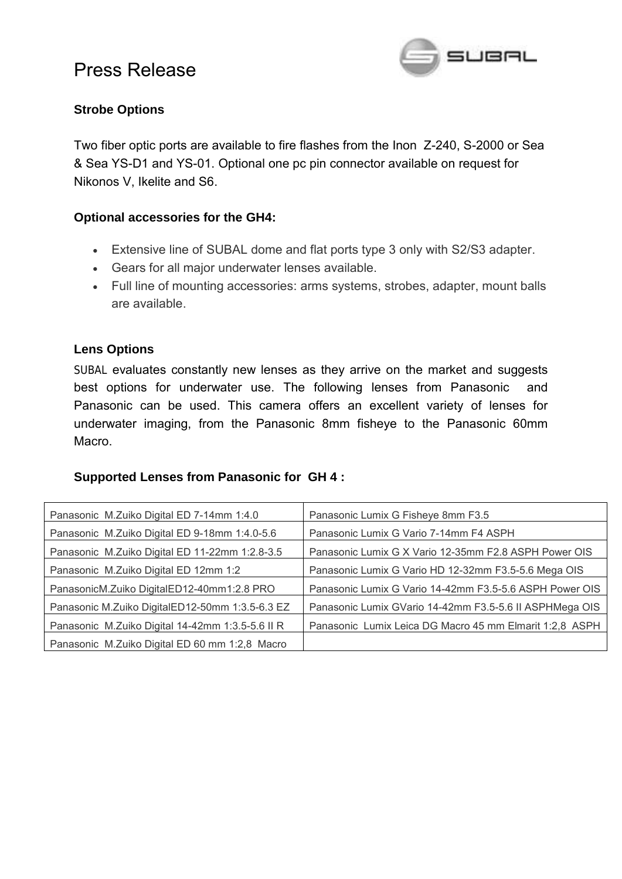

### **Strobe Options**

Two fiber optic ports are available to fire flashes from the Inon Z-240, S-2000 or Sea & Sea YS-D1 and YS-01. Optional one pc pin connector available on request for Nikonos V, Ikelite and S6.

### **Optional accessories for the GH4:**

- Extensive line of SUBAL dome and flat ports type 3 only with S2/S3 adapter.
- Gears for all major underwater lenses available.
- Full line of mounting accessories: arms systems, strobes, adapter, mount balls are available.

### **Lens Options**

SUBAL evaluates constantly new lenses as they arrive on the market and suggests best options for underwater use. The following lenses from Panasonic and Panasonic can be used. This camera offers an excellent variety of lenses for underwater imaging, from the Panasonic 8mm fisheye to the Panasonic 60mm Macro.

### **Supported Lenses from Panasonic for GH 4 :**

| Panasonic M.Zuiko Digital ED 7-14mm 1:4.0        | Panasonic Lumix G Fisheye 8mm F3.5                      |
|--------------------------------------------------|---------------------------------------------------------|
| Panasonic M.Zuiko Digital ED 9-18mm 1:4.0-5.6    | Panasonic Lumix G Vario 7-14mm F4 ASPH                  |
| Panasonic M.Zuiko Digital ED 11-22mm 1:2.8-3.5   | Panasonic Lumix G X Vario 12-35mm F2.8 ASPH Power OIS   |
| Panasonic M.Zuiko Digital ED 12mm 1:2            | Panasonic Lumix G Vario HD 12-32mm F3.5-5.6 Mega OIS    |
| PanasonicM.Zuiko DigitalED12-40mm1:2.8 PRO       | Panasonic Lumix G Vario 14-42mm F3.5-5.6 ASPH Power OIS |
| Panasonic M.Zuiko DigitalED12-50mm 1:3.5-6.3 EZ  | Panasonic Lumix GVario 14-42mm F3.5-5.6 II ASPHMega OIS |
| Panasonic M.Zuiko Digital 14-42mm 1:3.5-5.6 II R | Panasonic Lumix Leica DG Macro 45 mm Elmarit 1:2,8 ASPH |
| Panasonic M.Zuiko Digital ED 60 mm 1:2,8 Macro   |                                                         |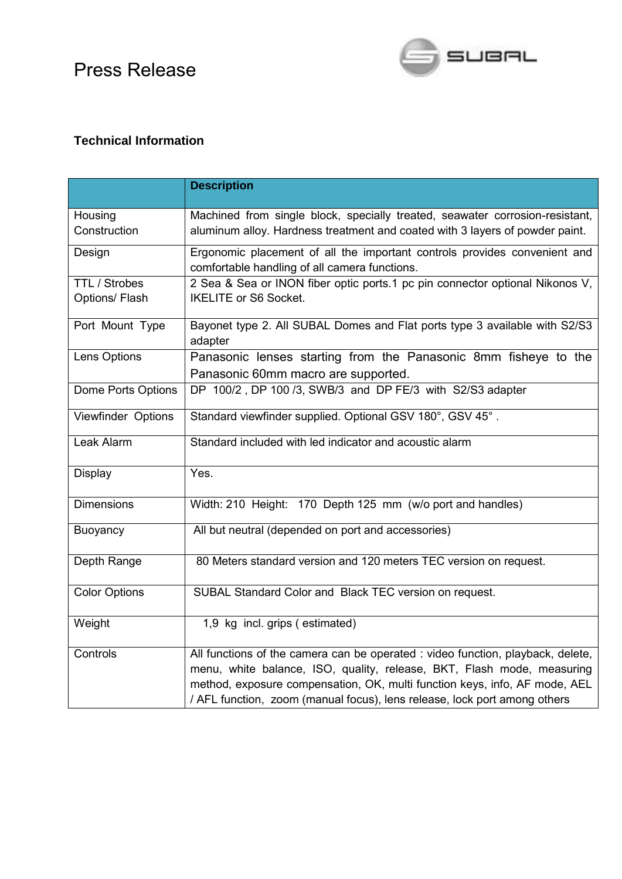

### **Technical Information**

|                      | <b>Description</b>                                                                    |
|----------------------|---------------------------------------------------------------------------------------|
| Housing              | Machined from single block, specially treated, seawater corrosion-resistant,          |
| Construction         | aluminum alloy. Hardness treatment and coated with 3 layers of powder paint.          |
| Design               | Ergonomic placement of all the important controls provides convenient and             |
|                      | comfortable handling of all camera functions.                                         |
| TTL / Strobes        | 2 Sea & Sea or INON fiber optic ports.1 pc pin connector optional Nikonos V,          |
| Options/ Flash       | <b>IKELITE or S6 Socket.</b>                                                          |
| Port Mount Type      | Bayonet type 2. All SUBAL Domes and Flat ports type 3 available with S2/S3<br>adapter |
| Lens Options         | Panasonic lenses starting from the Panasonic 8mm fisheye to the                       |
|                      | Panasonic 60mm macro are supported.                                                   |
| Dome Ports Options   | DP 100/2, DP 100/3, SWB/3 and DP FE/3 with S2/S3 adapter                              |
| Viewfinder Options   | Standard viewfinder supplied. Optional GSV 180°, GSV 45°.                             |
| Leak Alarm           | Standard included with led indicator and acoustic alarm                               |
| Display              | Yes.                                                                                  |
| <b>Dimensions</b>    | Width: 210 Height: 170 Depth 125 mm (w/o port and handles)                            |
| Buoyancy             | All but neutral (depended on port and accessories)                                    |
| Depth Range          | 80 Meters standard version and 120 meters TEC version on request.                     |
| <b>Color Options</b> | SUBAL Standard Color and Black TEC version on request.                                |
| Weight               | 1,9 kg incl. grips (estimated)                                                        |
| Controls             | All functions of the camera can be operated : video function, playback, delete,       |
|                      | menu, white balance, ISO, quality, release, BKT, Flash mode, measuring                |
|                      | method, exposure compensation, OK, multi function keys, info, AF mode, AEL            |
|                      | / AFL function, zoom (manual focus), lens release, lock port among others             |